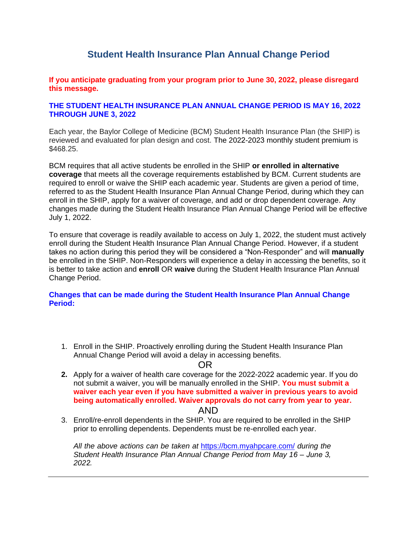# **Student Health Insurance Plan Annual Change Period**

**If you anticipate graduating from your program prior to June 30, 2022, please disregard this message.**

#### **THE STUDENT HEALTH INSURANCE PLAN ANNUAL CHANGE PERIOD IS MAY 16, 2022 THROUGH JUNE 3, 2022**

Each year, the Baylor College of Medicine (BCM) Student Health Insurance Plan (the SHIP) is reviewed and evaluated for plan design and cost. The 2022-2023 monthly student premium is \$468.25.

BCM requires that all active students be enrolled in the SHIP **or enrolled in alternative coverage** that meets all the coverage requirements established by BCM. Current students are required to enroll or waive the SHIP each academic year. Students are given a period of time, referred to as the Student Health Insurance Plan Annual Change Period, during which they can enroll in the SHIP, apply for a waiver of coverage, and add or drop dependent coverage. Any changes made during the Student Health Insurance Plan Annual Change Period will be effective July 1, 2022.

To ensure that coverage is readily available to access on July 1, 2022, the student must actively enroll during the Student Health Insurance Plan Annual Change Period. However, if a student takes no action during this period they will be considered a "Non-Responder" and will **manually**  be enrolled in the SHIP. Non-Responders will experience a delay in accessing the benefits, so it is better to take action and **enroll** OR **waive** during the Student Health Insurance Plan Annual Change Period.

**Changes that can be made during the Student Health Insurance Plan Annual Change Period:**

1. Enroll in the SHIP. Proactively enrolling during the Student Health Insurance Plan Annual Change Period will avoid a delay in accessing benefits.

#### OR

- **2.** Apply for a waiver of health care coverage for the 2022-2022 academic year. If you do not submit a waiver, you will be manually enrolled in the SHIP. **You must submit a waiver each year even if you have submitted a waiver in previous years to avoid being automatically enrolled. Waiver approvals do not carry from year to year.** AND
- 3. Enroll/re-enroll dependents in the SHIP. You are required to be enrolled in the SHIP prior to enrolling dependents. Dependents must be re-enrolled each year.

*All the above actions can be taken at* https://bcm.myahpcare.com/ *during the Student Health Insurance Plan Annual Change Period from May 16 – June 3, 2022.*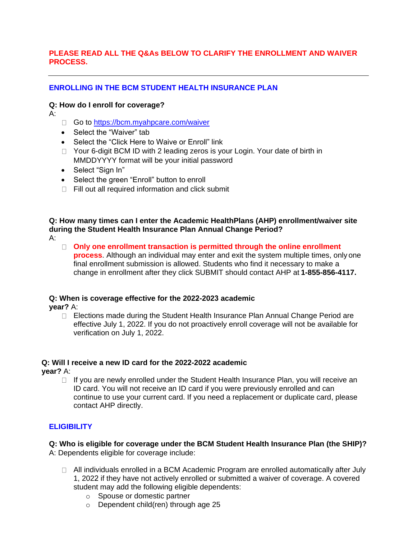### **PLEASE READ ALL THE Q&As BELOW TO CLARIFY THE ENROLLMENT AND WAIVER PROCESS.**

## **ENROLLING IN THE BCM STUDENT HEALTH INSURANCE PLAN**

### **Q: How do I enroll for coverage?**

A:

- □ Go to https://bcm.myahpcare.com/waiver
- Select the "Waiver" tab
- Select the "Click Here to Waive or Enroll" link
- □ Your 6-digit BCM ID with 2 leading zeros is your Login. Your date of birth in MMDDYYYY format will be your initial password
- Select "Sign In"
- Select the green "Enroll" button to enroll
- $\Box$  Fill out all required information and click submit

#### **Q: How many times can I enter the Academic HealthPlans (AHP) enrollment/waiver site during the Student Health Insurance Plan Annual Change Period?** A:

**Only one enrollment transaction is permitted through the online enrollment process**. Although an individual may enter and exit the system multiple times, only one final enrollment submission is allowed. Students who find it necessary to make a change in enrollment after they click SUBMIT should contact AHP at **1-855-856-4117.**

### **Q: When is coverage effective for the 2022-2023 academic**

**year?** A:

 $\Box$  Elections made during the Student Health Insurance Plan Annual Change Period are effective July 1, 2022. If you do not proactively enroll coverage will not be available for verification on July 1, 2022.

### **Q: Will I receive a new ID card for the 2022-2022 academic**

**year?** A:

 $\Box$  If you are newly enrolled under the Student Health Insurance Plan, you will receive an ID card. You will not receive an ID card if you were previously enrolled and can continue to use your current card. If you need a replacement or duplicate card, please contact AHP directly.

## **ELIGIBILITY**

#### **Q: Who is eligible for coverage under the BCM Student Health Insurance Plan (the SHIP)?** A: Dependents eligible for coverage include:

- All individuals enrolled in a BCM Academic Program are enrolled automatically after July 1, 2022 if they have not actively enrolled or submitted a waiver of coverage. A covered student may add the following eligible dependents:
	- o Spouse or domestic partner
	- o Dependent child(ren) through age 25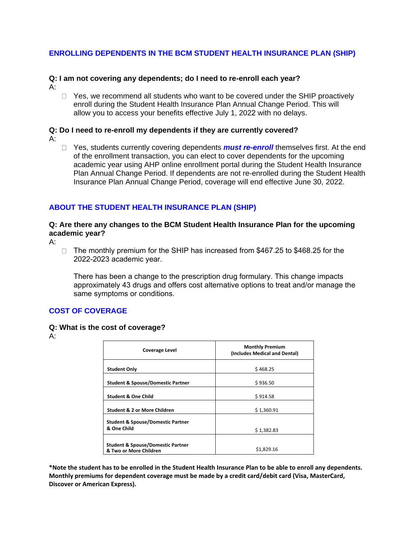## **ENROLLING DEPENDENTS IN THE BCM STUDENT HEALTH INSURANCE PLAN (SHIP)**

#### **Q: I am not covering any dependents; do I need to re-enroll each year?**

- A:
- $\Box$  Yes, we recommend all students who want to be covered under the SHIP proactively enroll during the Student Health Insurance Plan Annual Change Period. This will allow you to access your benefits effective July 1, 2022 with no delays.

#### **Q: Do I need to re-enroll my dependents if they are currently covered?** A:

- 
- □ Yes, students currently covering dependents **must re-enroll** themselves first. At the end of the enrollment transaction, you can elect to cover dependents for the upcoming academic year using AHP online enrollment portal during the Student Health Insurance Plan Annual Change Period. If dependents are not re-enrolled during the Student Health Insurance Plan Annual Change Period, coverage will end effective June 30, 2022.

## **ABOUT THE STUDENT HEALTH INSURANCE PLAN (SHIP)**

### **Q: Are there any changes to the BCM Student Health Insurance Plan for the upcoming academic year?**

 $A$ :

□ The monthly premium for the SHIP has increased from \$467.25 to \$468.25 for the 2022-2023 academic year.

There has been a change to the prescription drug formulary. This change impacts approximately 43 drugs and offers cost alternative options to treat and/or manage the same symptoms or conditions.

## **COST OF COVERAGE**

### **Q: What is the cost of coverage?**

A:

| <b>Coverage Level</b>                                                  | <b>Monthly Premium</b><br>(Includes Medical and Dental) |  |
|------------------------------------------------------------------------|---------------------------------------------------------|--|
| <b>Student Only</b>                                                    | \$468.25                                                |  |
| <b>Student &amp; Spouse/Domestic Partner</b>                           | \$936.50                                                |  |
| <b>Student &amp; One Child</b>                                         | \$914.58                                                |  |
| <b>Student &amp; 2 or More Children</b>                                | \$1,360.91                                              |  |
| <b>Student &amp; Spouse/Domestic Partner</b><br>& One Child            | \$1,382.83                                              |  |
| <b>Student &amp; Spouse/Domestic Partner</b><br>& Two or More Children | \$1,829.16                                              |  |

**\*Note the student has to be enrolled in the Student Health Insurance Plan to be able to enroll any dependents. Monthly premiums for dependent coverage must be made by a credit card/debit card (Visa, MasterCard, Discover or American Express).**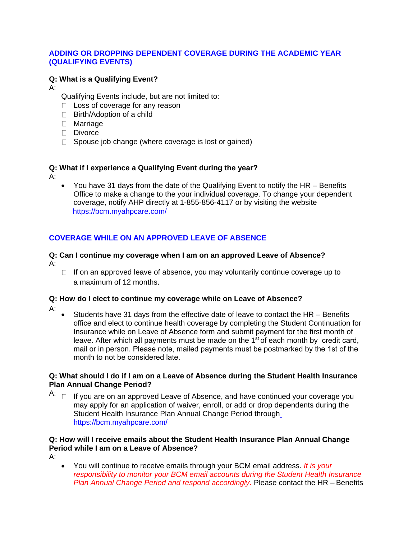## **ADDING OR DROPPING DEPENDENT COVERAGE DURING THE ACADEMIC YEAR (QUALIFYING EVENTS)**

## **Q: What is a Qualifying Event?**

A:

- Qualifying Events include, but are not limited to:
- $\Box$  Loss of coverage for any reason
- □ Birth/Adoption of a child
- Marriage
- Divorce
- $\Box$  Spouse job change (where coverage is lost or gained)

## **Q: What if I experience a Qualifying Event during the year?**

 $A$ :

 You have 31 days from the date of the Qualifying Event to notify the HR – Benefits Office to make a change to the your individual coverage. To change your dependent coverage, notify AHP directly at 1-855-856-4117 or by visiting the website https://bcm.myahpcare.com/

## **COVERAGE WHILE ON AN APPROVED LEAVE OF ABSENCE**

#### **Q: Can I continue my coverage when I am on an approved Leave of Absence?** A:

 $\Box$  If on an approved leave of absence, you may voluntarily continue coverage up to a maximum of 12 months.

### **Q: How do I elect to continue my coverage while on Leave of Absence?**

A:

• Students have 31 days from the effective date of leave to contact the HR – Benefits office and elect to continue health coverage by completing the Student Continuation for Insurance while on Leave of Absence form and submit payment for the first month of leave. After which all payments must be made on the  $1<sup>st</sup>$  of each month by credit card, mail or in person. Please note, mailed payments must be postmarked by the 1st of the month to not be considered late.

### **Q: What should I do if I am on a Leave of Absence during the Student Health Insurance Plan Annual Change Period?**

A:  $\Box$  If you are on an approved Leave of Absence, and have continued your coverage you may apply for an application of waiver, enroll, or add or drop dependents during the Student Health Insurance Plan Annual Change Period through https://bcm.myahpcare.com/

## **Q: How will I receive emails about the Student Health Insurance Plan Annual Change Period while I am on a Leave of Absence?**

A:

 You will continue to receive emails through your BCM email address. *It is your responsibility to monitor your BCM email accounts during the Student Health Insurance Plan Annual Change Period and respond accordingly.* Please contact the HR – Benefits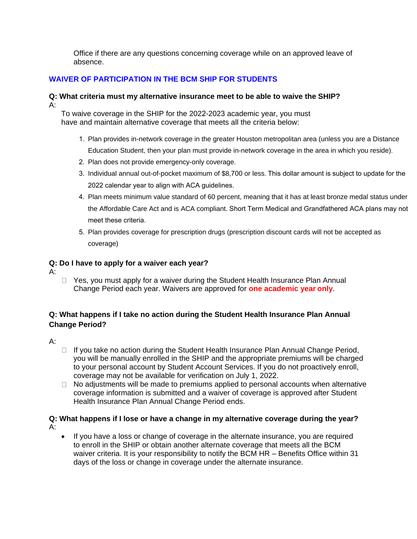Office if there are any questions concerning coverage while on an approved leave of absence.

## **WAIVER OF PARTICIPATION IN THE BCM SHIP FOR STUDENTS**

### **Q: What criteria must my alternative insurance meet to be able to waive the SHIP?**  $A$ :

To waive coverage in the SHIP for the 2022-2023 academic year, you must have and maintain alternative coverage that meets all the criteria below:

- 1. Plan provides in-network coverage in the greater Houston metropolitan area (unless you are a Distance Education Student, then your plan must provide in-network coverage in the area in which you reside).
- 2. Plan does not provide emergency-only coverage.
- 3. Individual annual out-of-pocket maximum of \$8,700 or less. This dollar amount is subject to update for the 2022 calendar year to align with ACA guidelines.
- 4. Plan meets minimum value standard of 60 percent, meaning that it has at least bronze medal status under the Affordable Care Act and is ACA compliant. Short Term Medical and Grandfathered ACA plans may not meet these criteria.
- 5. Plan provides coverage for prescription drugs (prescription discount cards will not be accepted as coverage)

## **Q: Do I have to apply for a waiver each year?**

- A:
- $\Box$  Yes, you must apply for a waiver during the Student Health Insurance Plan Annual Change Period each year. Waivers are approved for **one academic year only**.

## **Q: What happens if I take no action during the Student Health Insurance Plan Annual Change Period?**

- A:
- $\Box$  If you take no action during the Student Health Insurance Plan Annual Change Period, you will be manually enrolled in the SHIP and the appropriate premiums will be charged to your personal account by Student Account Services. If you do not proactively enroll, coverage may not be available for verification on July 1, 2022.
- $\Box$  No adjustments will be made to premiums applied to personal accounts when alternative coverage information is submitted and a waiver of coverage is approved after Student Health Insurance Plan Annual Change Period ends.

## **Q: What happens if I lose or have a change in my alternative coverage during the year?** A:

 If you have a loss or change of coverage in the alternate insurance, you are required to enroll in the SHIP or obtain another alternate coverage that meets all the BCM waiver criteria. It is your responsibility to notify the BCM HR – Benefits Office within 31 days of the loss or change in coverage under the alternate insurance.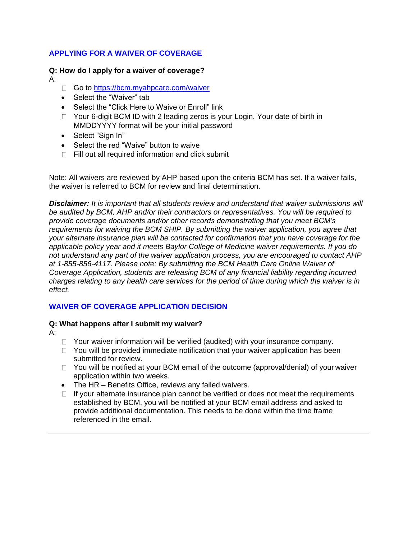## **APPLYING FOR A WAIVER OF COVERAGE**

### **Q: How do I apply for a waiver of coverage?**

A:

- Go to https://bcm.myahpcare.com/waiver
- Select the "Waiver" tab
- Select the "Click Here to Waive or Enroll" link
- □ Your 6-digit BCM ID with 2 leading zeros is your Login. Your date of birth in MMDDYYYY format will be your initial password
- Select "Sign In"
- Select the red "Waive" button to waive
- $\Box$  Fill out all required information and click submit

Note: All waivers are reviewed by AHP based upon the criteria BCM has set. If a waiver fails, the waiver is referred to BCM for review and final determination.

*Disclaimer: It is important that all students review and understand that waiver submissions will be audited by BCM, AHP and/or their contractors or representatives. You will be required to provide coverage documents and/or other records demonstrating that you meet BCM's requirements for waiving the BCM SHIP. By submitting the waiver application, you agree that your alternate insurance plan will be contacted for confirmation that you have coverage for the applicable policy year and it meets Baylor College of Medicine waiver requirements. If you do not understand any part of the waiver application process, you are encouraged to contact AHP at 1-855-856-4117. Please note: By submitting the BCM Health Care Online Waiver of Coverage Application, students are releasing BCM of any financial liability regarding incurred charges relating to any health care services for the period of time during which the waiver is in effect.*

## **WAIVER OF COVERAGE APPLICATION DECISION**

### **Q: What happens after I submit my waiver?**

A:

- $\Box$  Your waiver information will be verified (audited) with your insurance company.
- $\Box$  You will be provided immediate notification that your waiver application has been submitted for review.
- $\Box$  You will be notified at your BCM email of the outcome (approval/denial) of your waiver application within two weeks.
- The HR Benefits Office, reviews any failed waivers.
- $\Box$  If your alternate insurance plan cannot be verified or does not meet the requirements established by BCM, you will be notified at your BCM email address and asked to provide additional documentation. This needs to be done within the time frame referenced in the email.